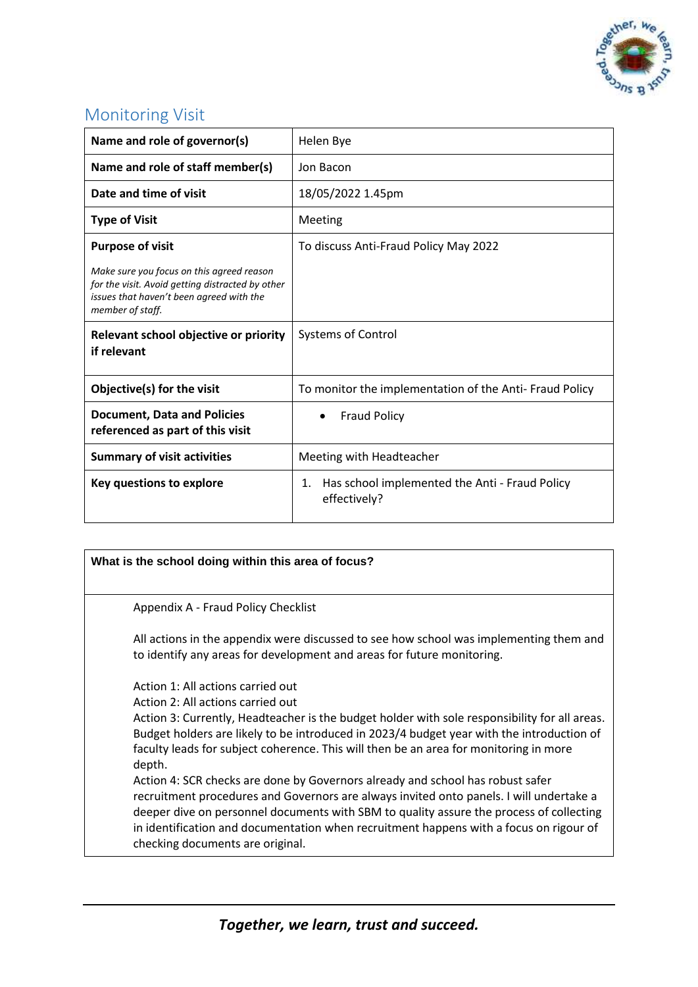

# Monitoring Visit

| Name and role of governor(s)                                                                                                                                  | Helen Bye                                                            |
|---------------------------------------------------------------------------------------------------------------------------------------------------------------|----------------------------------------------------------------------|
| Name and role of staff member(s)                                                                                                                              | Jon Bacon                                                            |
| Date and time of visit                                                                                                                                        | 18/05/2022 1.45pm                                                    |
| <b>Type of Visit</b>                                                                                                                                          | Meeting                                                              |
| <b>Purpose of visit</b>                                                                                                                                       | To discuss Anti-Fraud Policy May 2022                                |
| Make sure you focus on this agreed reason<br>for the visit. Avoid getting distracted by other<br>issues that haven't been agreed with the<br>member of staff. |                                                                      |
| Relevant school objective or priority<br>if relevant                                                                                                          | <b>Systems of Control</b>                                            |
| Objective(s) for the visit                                                                                                                                    | To monitor the implementation of the Anti-Fraud Policy               |
| <b>Document, Data and Policies</b><br>referenced as part of this visit                                                                                        | <b>Fraud Policy</b>                                                  |
| <b>Summary of visit activities</b>                                                                                                                            | Meeting with Headteacher                                             |
| Key questions to explore                                                                                                                                      | Has school implemented the Anti - Fraud Policy<br>1.<br>effectively? |

## **What is the school doing within this area of focus?** Appendix A - Fraud Policy Checklist All actions in the appendix were discussed to see how school was implementing them and to identify any areas for development and areas for future monitoring. Action 1: All actions carried out Action 2: All actions carried out Action 3: Currently, Headteacher is the budget holder with sole responsibility for all areas. Budget holders are likely to be introduced in 2023/4 budget year with the introduction of faculty leads for subject coherence. This will then be an area for monitoring in more depth. Action 4: SCR checks are done by Governors already and school has robust safer recruitment procedures and Governors are always invited onto panels. I will undertake a deeper dive on personnel documents with SBM to quality assure the process of collecting in identification and documentation when recruitment happens with a focus on rigour of checking documents are original.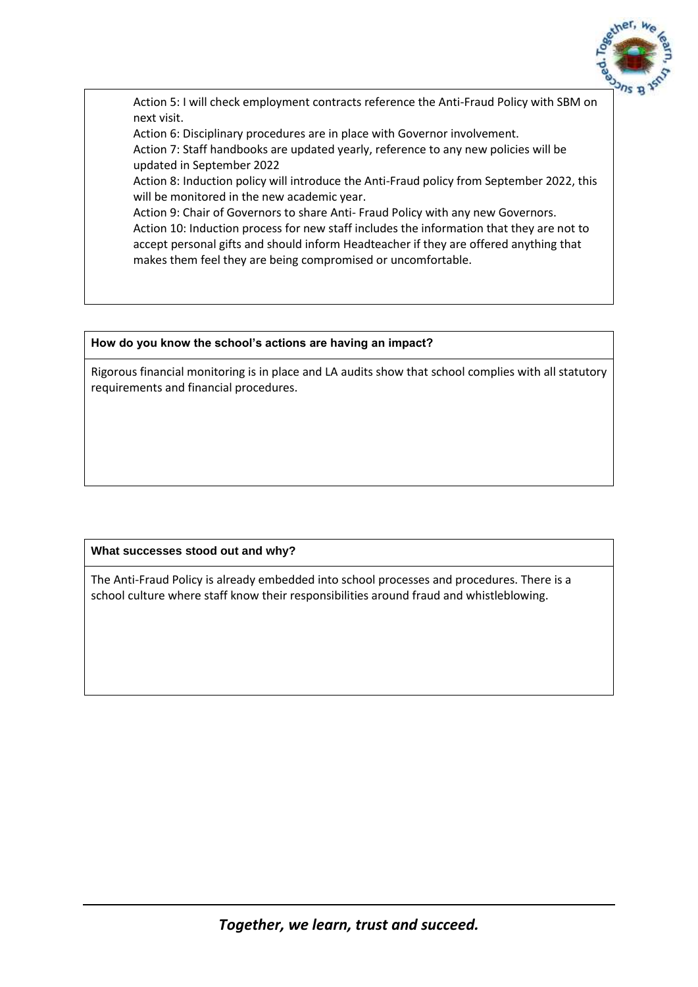

Action 5: I will check employment contracts reference the Anti-Fraud Policy with SBM on next visit.

Action 6: Disciplinary procedures are in place with Governor involvement.

Action 7: Staff handbooks are updated yearly, reference to any new policies will be updated in September 2022

Action 8: Induction policy will introduce the Anti-Fraud policy from September 2022, this will be monitored in the new academic year.

Action 9: Chair of Governors to share Anti- Fraud Policy with any new Governors. Action 10: Induction process for new staff includes the information that they are not to accept personal gifts and should inform Headteacher if they are offered anything that makes them feel they are being compromised or uncomfortable.

#### **How do you know the school's actions are having an impact?**

Rigorous financial monitoring is in place and LA audits show that school complies with all statutory requirements and financial procedures.

### **What successes stood out and why?**

The Anti-Fraud Policy is already embedded into school processes and procedures. There is a school culture where staff know their responsibilities around fraud and whistleblowing.